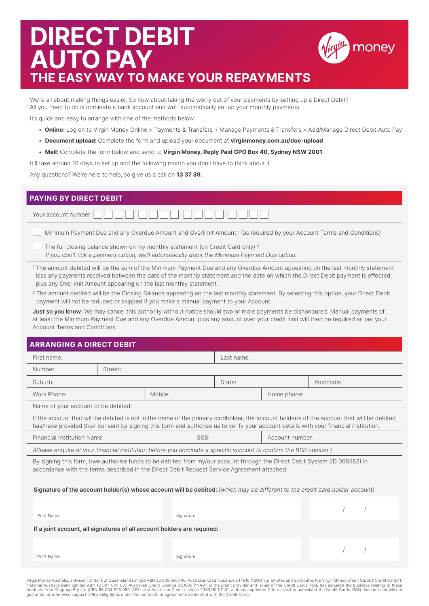# **DIRECT DEBIT AUTO PAY THE EASY WAY TO MAKE YOUR REPAYMENTS**



#### We're all about making things easier. So how about taking the worry out of your payments by setting up a Direct Debit? All you need to do is nominate a bank account and we'll automatically set up your monthly payments.

It's quick and easy to arrange with one of the methods below:

- **Online:** Log on to Virgin Money Online > Payments & Transfers > Manage Payments & Transfers > Add/Manage Direct Debit Auto Pay
- **Document upload:** Complete the form and upload your document at **virginmoney.com.au/doc-upload**
- **Mail:** Complete the form below and send to **Virgin Money, Reply Paid GPO Box 40, Sydney NSW 2001**.

It'll take around 10 days to set up and the following month you don't have to think about it.

Any questions? We're here to help, so give us a call on **13 37 39**.

### **PAYING BY DIRECT DEBIT**

| Your account number: <b>ANDIA READER</b> |  |  |  |  |
|------------------------------------------|--|--|--|--|
|                                          |  |  |  |  |

**Minimum Payment Due and any Overdue Amount and Overlimit Amount** 1 (as required by your Account Terms and Conditions)

The full closing balance shown on my monthly statement (on Credit Card only)<sup>2</sup> *If you don't tick a payment option, we'll automatically debit the Minimum Payment Due option.* 

<sup>1</sup> The amount debited will be the sum of the Minimum Payment Due and any Overdue Amount appearing on the last monthly statement less any payments received between the date of the monthly statement and the date on which the Direct Debit payment is effected; plus any Overlimit Amount appearing on the last monthly statement.

<sup>2</sup> The amount debited will be the Closing Balance appearing on the last monthly statement. By selecting this option, your Direct Debit payment will not be reduced or skipped if you make a manual payment to your Account.

**Just so you know:** We may cancel this authority without notice should two or more payments be dishonoured. Manual payments of at least the Minimum Payment Due and any Overdue Amount plus any amount over your credit limit will then be required as per your Account Terms and Conditions.

# **ARRANGING A DIRECT DEBIT**

| First name:                                                                                                                                                                                                                                                                         |         |           | Last name: |  |                 |           |  |  |  |  |  |
|-------------------------------------------------------------------------------------------------------------------------------------------------------------------------------------------------------------------------------------------------------------------------------------|---------|-----------|------------|--|-----------------|-----------|--|--|--|--|--|
| Number:                                                                                                                                                                                                                                                                             | Street: |           |            |  |                 |           |  |  |  |  |  |
| Suburb:                                                                                                                                                                                                                                                                             |         |           | State:     |  |                 | Postcode: |  |  |  |  |  |
| Work Phone:<br>Mobile:                                                                                                                                                                                                                                                              |         |           |            |  | Home phone:     |           |  |  |  |  |  |
| Name of your account to be debited:                                                                                                                                                                                                                                                 |         |           |            |  |                 |           |  |  |  |  |  |
| If the account that will be debited is not in the name of the primary cardholder, the account holder/s of the account that will be debited<br>has/have provided their consent by signing this form and authorise us to verify your account details with your financial institution. |         |           |            |  |                 |           |  |  |  |  |  |
| <b>Financial Institution Name:</b>                                                                                                                                                                                                                                                  |         |           | BSB:       |  | Account number: |           |  |  |  |  |  |
| (Please enquire at your financial institution before you nominate a specific account to confirm the BSB number.)                                                                                                                                                                    |         |           |            |  |                 |           |  |  |  |  |  |
| By signing this form, I/we authorise funds to be debited from my/our account through the Direct Debit System (ID 008582) in<br>accordance with the terms described in the Direct Debit Request Service Agreement attached.                                                          |         |           |            |  |                 |           |  |  |  |  |  |
| Signature of the account holder(s) whose account will be debited: (which may be different to the credit card holder account)                                                                                                                                                        |         |           |            |  |                 |           |  |  |  |  |  |
| Print Name                                                                                                                                                                                                                                                                          |         | Signature |            |  |                 |           |  |  |  |  |  |
| If a joint account, all signatures of all account holders are required:                                                                                                                                                                                                             |         |           |            |  |                 |           |  |  |  |  |  |
| Print Name                                                                                                                                                                                                                                                                          |         | Signature |            |  |                 |           |  |  |  |  |  |
|                                                                                                                                                                                                                                                                                     |         |           |            |  |                 |           |  |  |  |  |  |

Virgin Money Australia, a division of Bank of Queensland Limited ABN 32 009 656 740, Australian Credit Licence 244616 ("BOQ"), promotes and distributes the Virgin Money Credit Cards ("Credit Cards"). National Australia Bank Limited ABN 12 004 044 937 Australian Credit Licence 230686 ("NAB") is the credit provider and issuer of the Credit Cards. NAB has acquired the business relating to these<br>products from Citigroup Pty guarantee or otherwise support NAB's obligations under the contracts or agreements connected with the Credit Cards.